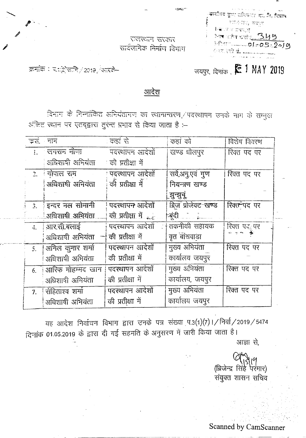| والمروان مهرون والمحافظ والمحافظ<br>-ब्राहोतव कुमा परिवरण हो, लि दिवार |
|------------------------------------------------------------------------|
| সমক্ৰিয়, অসমত                                                         |
| िक्र∪प्राथ प्रथम¦क्<br>27 Th 57 5 349                                  |
| 3-PHT 01.05-2010                                                       |
| 个球 溶解 就……                                                              |

राजस्थल सरकार অৰ্থআনক নিৰ্মাণ বিমান

ويستعدم

इनांके : प्र:शिक्षाने / 2019 / आरके-

जयपुर, दिनांक , E 1 MAY 2019

आदेश

विनाम के निन्नांकित अनियंतागण का स्थानान्तरण,/पदस्थापन उनके नाम के सम्भुख अंकित स्थान पर एतद्वारा तुरंन्त प्रभाव से किया जाता है :-

|                | इतं नान            | ंकड़ां से             | कहां को                   | विशेष विवरण  |
|----------------|--------------------|-----------------------|---------------------------|--------------|
| L.             | जगरान नीण          | पदस्थापन आदेशों       | खण्ड धौलपुर               | रिक्त पद पर  |
|                | अधिशाषी अभियंता    | ं को प्रतीक्षा में    |                           |              |
| $\mathbb{Z}^+$ | ं गोपाल राम        | पदस्थापन आदेशों       | सर्वे,अनु,एवं गुण         | रिक्त पद पर  |
|                | अधिशाषी अनियंता    | की प्रतीक्षा में      | नियन्त्रण खण्ड            |              |
|                |                    |                       | ॒झुन्झुनू                 |              |
|                | 3. इन्दर नल सोमानी | पदस्थापन आदेशों       | ब्रिज प्रोजेक्ट खण्ड      | रिक्त पद पर  |
|                | ्अधिशार्षा अभियंता | की प्रतीक्षा में इन्ह |                           |              |
| $\div$         | आर.सी.बलाई         | पदस्थापन आदेशों       | <del>्तकनीको स</del> हायक | रिक्त पद् पर |
|                | अधिशाषी अभियंता    | की प्रतीक्षा में      | वृत बांसवाडा              | ≩ ہېد        |
| 5.             | अनिल कुमार शर्मा   | पदस्थापन आदेशों       | मुख्य अभियंता             | रिक्त पद पर  |
|                | अधिशाषी अभियंता    | की प्रतीक्षा में      | कार्यालय जयपुर            |              |
| 6.             | आरिफ मोहम्मद खान   | पदस्थापन आदेशों       | गुख्य अभियंता             | रिक्त पद पर  |
|                | अधिशार्षी अभियंता  | की प्रतीक्षा में      | कार्यालय, जयपुर           |              |
| 7.             | रोहिताश्व शर्मा    | पदस्थापन आदेशों       | मुख्य अभियंता             | रिक्त पद पर  |
|                | अधिशाषी अभियंता    | की प्रतीक्षा में      | कार्यालय जयपुर            |              |

यह आदेश निर्वाचन विभाग द्वारा उनके पत्र संख्या प.3(1)(7)। / निर्वा / 2019 / 5474 दिनांक 01.05.2019 के द्वारा दी गई सहमति के अनुसरण में जारी किया जाता है।

आज्ञा से,

(ब्रिजेन्द्र सिंहे परमार) संयुक्त शासन सचिव

Scanned by CamScanner